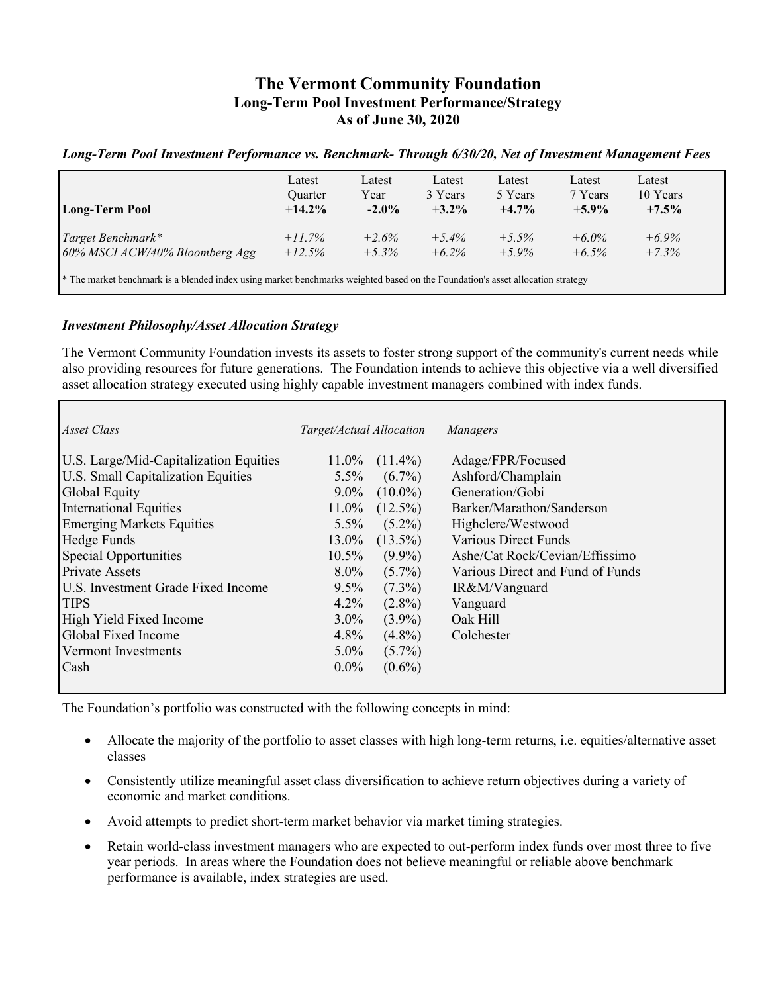# **The Vermont Community Foundation Long-Term Pool Investment Performance/Strategy As of June 30, 2020**

### *Long-Term Pool Investment Performance vs. Benchmark- Through 6/30/20, Net of Investment Management Fees*

| <b>Long-Term Pool</b>                                                                                                                     | Latest<br>Quarter<br>$+14.2\%$ | Latest<br>Year<br>$-2.0\%$ | Latest<br>3 Years<br>$+3.2\%$ | Latest<br>5 Years<br>$+4.7%$ | Latest<br>7 Years<br>$+5.9\%$ | Latest<br>10 Years<br>$+7.5%$ |  |
|-------------------------------------------------------------------------------------------------------------------------------------------|--------------------------------|----------------------------|-------------------------------|------------------------------|-------------------------------|-------------------------------|--|
| $\vert$ Target Benchmark*<br>60% MSCI ACW/40% Bloomberg Agg                                                                               | $+11.7\%$<br>$+12.5%$          | $+2.6%$<br>$+5.3\%$        | $+5.4\%$<br>$+6.2\%$          | $+5.5\%$<br>$+5.9\%$         | $+6.0\%$<br>$+6.5\%$          | $+6.9\%$<br>$+7.3%$           |  |
| <sup>*</sup> The market benchmark is a blended index using market benchmarks weighted based on the Foundation's asset allocation strategy |                                |                            |                               |                              |                               |                               |  |

#### *Investment Philosophy/Asset Allocation Strategy*

The Vermont Community Foundation invests its assets to foster strong support of the community's current needs while also providing resources for future generations. The Foundation intends to achieve this objective via a well diversified asset allocation strategy executed using highly capable investment managers combined with index funds.

| Asset Class                            | Target/Actual Allocation |            | Managers                         |
|----------------------------------------|--------------------------|------------|----------------------------------|
| U.S. Large/Mid-Capitalization Equities | $11.0\%$                 | $(11.4\%)$ | Adage/FPR/Focused                |
| U.S. Small Capitalization Equities     | $5.5\%$                  | $(6.7\%)$  | Ashford/Champlain                |
| Global Equity                          | $9.0\%$                  | $(10.0\%)$ | Generation/Gobi                  |
| <b>International Equities</b>          | $11.0\%$                 | $(12.5\%)$ | Barker/Marathon/Sanderson        |
| <b>Emerging Markets Equities</b>       | $5.5\%$                  | $(5.2\%)$  | Highclere/Westwood               |
| Hedge Funds                            | 13.0%                    | $(13.5\%)$ | <b>Various Direct Funds</b>      |
| Special Opportunities                  | $10.5\%$                 | $(9.9\%)$  | Ashe/Cat Rock/Cevian/Effissimo   |
| <b>Private Assets</b>                  | $8.0\%$                  | $(5.7\%)$  | Various Direct and Fund of Funds |
| U.S. Investment Grade Fixed Income     | $9.5\%$                  | $(7.3\%)$  | IR&M/Vanguard                    |
| <b>TIPS</b>                            | 4.2%                     | $(2.8\%)$  | Vanguard                         |
| High Yield Fixed Income                | $3.0\%$                  | $(3.9\%)$  | Oak Hill                         |
| Global Fixed Income                    | 4.8%                     | $(4.8\%)$  | Colchester                       |
| Vermont Investments                    | $5.0\%$                  | $(5.7\%)$  |                                  |
| Cash                                   | $0.0\%$                  | $(0.6\%)$  |                                  |
|                                        |                          |            |                                  |

The Foundation's portfolio was constructed with the following concepts in mind:

- Allocate the majority of the portfolio to asset classes with high long-term returns, i.e. equities/alternative asset classes
- Consistently utilize meaningful asset class diversification to achieve return objectives during a variety of economic and market conditions.
- Avoid attempts to predict short-term market behavior via market timing strategies.
- Retain world-class investment managers who are expected to out-perform index funds over most three to five year periods. In areas where the Foundation does not believe meaningful or reliable above benchmark performance is available, index strategies are used.